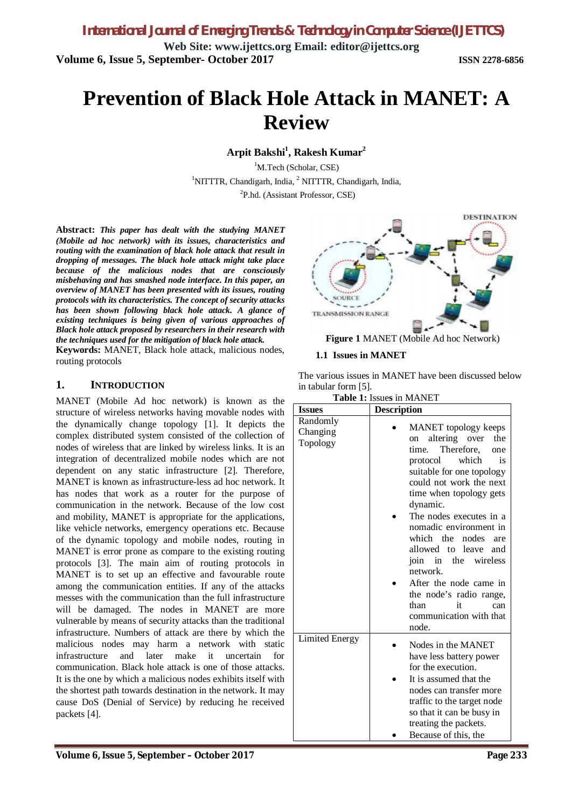*International Journal of Emerging Trends & Technology in Computer Science (IJETTCS)* **Web Site: [www.ijettcs.org](http://www.ijettcs.org) Email: [editor@ijettcs.org](mailto:editor@ijettcs.org) Volume 6, Issue 5, September- October 2017 ISSN 2278-6856**

# **Prevention of Black Hole Attack in MANET: A Review**

**Arpit Bakshi<sup>1</sup> , Rakesh Kumar<sup>2</sup>**

<sup>1</sup>M.Tech (Scholar, CSE) <sup>1</sup>NITTTR, Chandigarh, India, <sup>2</sup> NITTTR, Chandigarh, India, <sup>2</sup>P.hd. (Assistant Professor, CSE)

**Abstract:** *This paper has dealt with the studying MANET (Mobile ad hoc network) with its issues, characteristics and routing with the examination of black hole attack that result in dropping of messages. The black hole attack might take place because of the malicious nodes that are consciously misbehaving and has smashed node interface. In this paper, an overview of MANET has been presented with its issues, routing protocols with its characteristics. The concept of security attacks has been shown following black hole attack. A glance of existing techniques is being given of various approaches of Black hole attack proposed by researchers in their research with the techniques used for the mitigation of black hole attack.*

**Keywords:** MANET, Black hole attack, malicious nodes, routing protocols

### **1. INTRODUCTION**

MANET (Mobile Ad hoc network) is known as the structure of wireless networks having movable nodes with the dynamically change topology [1]. It depicts the complex distributed system consisted of the collection of nodes of wireless that are linked by wireless links. It is an integration of decentralized mobile nodes which are not dependent on any static infrastructure [2]. Therefore, MANET is known as infrastructure-less ad hoc network. It has nodes that work as a router for the purpose of communication in the network. Because of the low cost and mobility, MANET is appropriate for the applications, like vehicle networks, emergency operations etc. Because of the dynamic topology and mobile nodes, routing in MANET is error prone as compare to the existing routing protocols [3]. The main aim of routing protocols in MANET is to set up an effective and favourable route among the communication entities. If any of the attacks messes with the communication than the full infrastructure will be damaged. The nodes in MANET are more vulnerable by means of security attacks than the traditional infrastructure. Numbers of attack are there by which the malicious nodes may harm a network with static infrastructure and later make it uncertain for communication. Black hole attack is one of those attacks. It is the one by which a malicious nodes exhibits itself with the shortest path towards destination in the network. It may cause DoS (Denial of Service) by reducing he received packets [4].



#### **1.1 Issues in MANET**

The various issues in MANET have been discussed below in tabular form [5].

|  |  |  |  | <b>Table 1:</b> Issues in MANET |
|--|--|--|--|---------------------------------|
|--|--|--|--|---------------------------------|

| <b>Description</b><br>MANET topology keeps<br>altering over<br>the<br>on<br>time. Therefore,<br>one<br>which<br>protocol<br>is.<br>suitable for one topology<br>could not work the next<br>time when topology gets<br>dynamic.<br>The nodes executes in a |
|-----------------------------------------------------------------------------------------------------------------------------------------------------------------------------------------------------------------------------------------------------------|
| nomadic environment in<br>which the<br>nodes<br>are<br>allowed to leave and<br>join in<br>the wireless<br>network.<br>After the node came in<br>the node's radio range,<br>than<br>it<br>can<br>communication with that<br>node.                          |
| Nodes in the MANET<br>have less battery power<br>for the execution.<br>It is assumed that the<br>nodes can transfer more<br>traffic to the target node<br>so that it can be busy in<br>treating the packets.<br>Because of this, the                      |
|                                                                                                                                                                                                                                                           |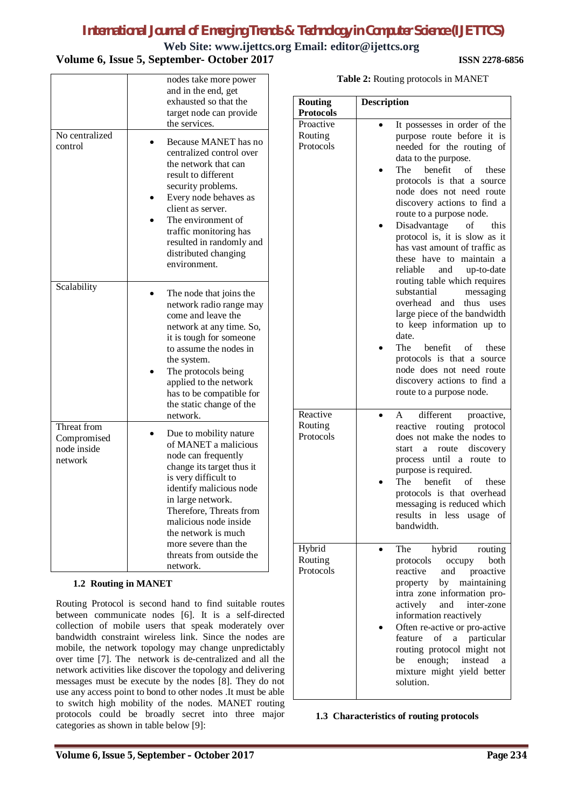**Web Site: [www.ijettcs.org](http://www.ijettcs.org) Email: [editor@ijettcs.org](mailto:editor@ijettcs.org)**

# **Volume 6, Issue 5, September- October 2017 ISSN 2278-6856**

| No centralized<br>control                            | nodes take more power<br>and in the end, get<br>exhausted so that the<br>target node can provide<br>the services.<br>Because MANET has no<br>centralized control over<br>the network that can<br>result to different<br>security problems.<br>Every node behaves as<br>client as server.<br>The environment of<br>traffic monitoring has<br>resulted in randomly and<br>distributed changing<br>environment. |  |  |
|------------------------------------------------------|--------------------------------------------------------------------------------------------------------------------------------------------------------------------------------------------------------------------------------------------------------------------------------------------------------------------------------------------------------------------------------------------------------------|--|--|
| Scalability                                          | The node that joins the<br>network radio range may<br>come and leave the<br>network at any time. So,<br>it is tough for someone<br>to assume the nodes in<br>the system.<br>The protocols being<br>applied to the network<br>has to be compatible for<br>the static change of the<br>network.                                                                                                                |  |  |
| Threat from<br>Compromised<br>node inside<br>network | Due to mobility nature<br>of MANET a malicious<br>node can frequently<br>change its target thus it<br>is very difficult to<br>identify malicious node<br>in large network.<br>Therefore, Threats from<br>malicious node inside<br>the network is much<br>more severe than the<br>threats from outside the<br>network.                                                                                        |  |  |
| 1.2 Routing in MANET                                 |                                                                                                                                                                                                                                                                                                                                                                                                              |  |  |

Routing Protocol is second hand to find suitable routes between communicate nodes [6]. It is a self-directed collection of mobile users that speak moderately over bandwidth constraint wireless link. Since the nodes are mobile, the network topology may change unpredictably over time [7]. The network is de-centralized and all the network activities like discover the topology and delivering messages must be execute by the nodes [8]. They do not use any access point to bond to other nodes .It must be able to switch high mobility of the nodes. MANET routing protocols could be broadly secret into three major categories as shown in table below [9]:

| Table 2: Routing protocols in MANET |  |
|-------------------------------------|--|
|-------------------------------------|--|

| <b>Routing</b>                                        | <b>Description</b>                                                                                                                                                                                                                                                                                                                                                                                                                                                                                                                                                                                                                                                                                                                                         |
|-------------------------------------------------------|------------------------------------------------------------------------------------------------------------------------------------------------------------------------------------------------------------------------------------------------------------------------------------------------------------------------------------------------------------------------------------------------------------------------------------------------------------------------------------------------------------------------------------------------------------------------------------------------------------------------------------------------------------------------------------------------------------------------------------------------------------|
| <b>Protocols</b><br>Proactive<br>Routing<br>Protocols | It possesses in order of the<br>purpose route before it is<br>needed for the routing of<br>data to the purpose.<br>benefit<br>- of<br>The<br>these<br>protocols is that a source<br>node does not need route<br>discovery actions to find a<br>route to a purpose node.<br>Disadvantage of<br>this<br>protocol is, it is slow as it<br>has vast amount of traffic as<br>these have to maintain<br>reliable<br>and<br>up-to-date<br>routing table which requires<br>substantial<br>messaging<br>overhead<br>and<br>thus<br>uses<br>large piece of the bandwidth<br>to keep information up to<br>date.<br>The<br>benefit of<br>these<br>protocols is that a<br>source<br>node does not need route<br>discovery actions to find a<br>route to a purpose node. |
| Reactive<br>Routing<br>Protocols                      | A<br>different proactive,<br>reactive routing protocol<br>does not make the nodes to<br>discovery<br>start<br>a<br>route<br>process until<br>a route<br>to<br>purpose is required.<br>benefit<br>of<br>The<br>these<br>protocols is that overhead<br>messaging is reduced which<br>results<br>less usage<br>in<br>οf<br>bandwidth.                                                                                                                                                                                                                                                                                                                                                                                                                         |
| Hybrid<br>Routing<br>Protocols                        | hybrid<br>The<br>routing<br>protocols<br>both<br>occupy<br>reactive<br>and<br>proactive<br>maintaining<br>property<br>by<br>intra zone information pro-<br>actively<br>and<br>inter-zone<br>information reactively<br>Often re-active or pro-active<br>a particular<br>feature<br>of<br>routing protocol might not<br>enough;<br>instead<br>be<br>a<br>mixture might yield better<br>solution.                                                                                                                                                                                                                                                                                                                                                             |

**1.3 Characteristics of routing protocols**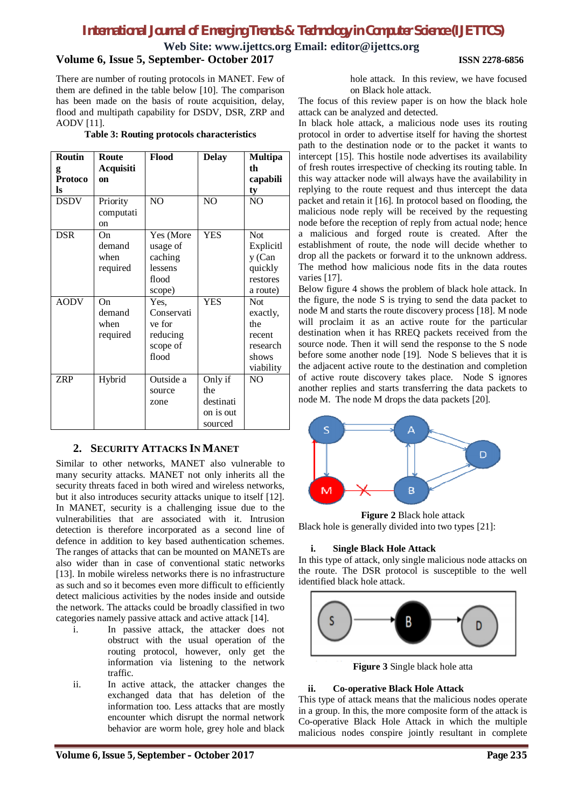**Web Site: [www.ijettcs.org](http://www.ijettcs.org) Email: [editor@ijettcs.org](mailto:editor@ijettcs.org)**

#### **Volume 6, Issue 5, September- October 2017 ISSN 2278-6856**

There are number of routing protocols in MANET. Few of them are defined in the table below [10]. The comparison has been made on the basis of route acquisition, delay, flood and multipath capability for DSDV, DSR, ZRP and AODV [11].

**Table 3: Routing protocols characteristics**

| <b>Routin</b>  | <b>Route</b>  | Flood          | <b>Delay</b>   | <b>Multipa</b> |
|----------------|---------------|----------------|----------------|----------------|
| g              | Acquisiti     |                |                | th             |
| <b>Protoco</b> | on            |                |                | capabili       |
| ls             |               |                |                | ty             |
| <b>DSDV</b>    | Priority      | N <sub>O</sub> | N <sub>O</sub> | N <sub>O</sub> |
|                | computati     |                |                |                |
|                | <sub>on</sub> |                |                |                |
| <b>DSR</b>     | On            | Yes (More      | <b>YES</b>     | <b>Not</b>     |
|                | demand        | usage of       |                | Explicitl      |
|                | when          | caching        |                | y (Can         |
|                | required      | lessens        |                | quickly        |
|                |               | flood          |                | restores       |
|                |               | scope)         |                | a route)       |
| <b>AODV</b>    | On            | Yes,           | <b>YES</b>     | Not            |
|                | demand        | Conservati     |                | exactly,       |
|                | when          | ve for         |                | the            |
|                | required      | reducing       |                | recent         |
|                |               | scope of       |                | research       |
|                |               | flood          |                | shows          |
|                |               |                |                | viability      |
| <b>ZRP</b>     | Hybrid        | Outside a      | Only if        | N <sub>O</sub> |
|                |               | source         | the            |                |
|                |               | zone           | destinati      |                |
|                |               |                | on is out      |                |
|                |               |                | sourced        |                |

## **2. SECURITY ATTACKS IN MANET**

Similar to other networks, MANET also vulnerable to many security attacks. MANET not only inherits all the security threats faced in both wired and wireless networks, but it also introduces security attacks unique to itself [12]. In MANET, security is a challenging issue due to the vulnerabilities that are associated with it. Intrusion detection is therefore incorporated as a second line of defence in addition to key based authentication schemes. The ranges of attacks that can be mounted on MANETs are also wider than in case of conventional static networks [13]. In mobile wireless networks there is no infrastructure as such and so it becomes even more difficult to efficiently detect malicious activities by the nodes inside and outside the network. The attacks could be broadly classified in two categories namely passive attack and active attack [14].

- i. In passive attack, the attacker does not obstruct with the usual operation of the routing protocol, however, only get the information via listening to the network traffic.
- ii. In active attack, the attacker changes the exchanged data that has deletion of the information too. Less attacks that are mostly encounter which disrupt the normal network behavior are worm hole, grey hole and black

hole attack. In this review, we have focused on Black hole attack.

The focus of this review paper is on how the black hole attack can be analyzed and detected.

In black hole attack, a malicious node uses its routing protocol in order to advertise itself for having the shortest path to the destination node or to the packet it wants to intercept [15]. This hostile node advertises its availability of fresh routes irrespective of checking its routing table. In this way attacker node will always have the availability in replying to the route request and thus intercept the data packet and retain it [16]. In protocol based on flooding, the malicious node reply will be received by the requesting node before the reception of reply from actual node; hence a malicious and forged route is created. After the establishment of route, the node will decide whether to drop all the packets or forward it to the unknown address. The method how malicious node fits in the data routes varies [17].

Below figure 4 shows the problem of black hole attack. In the figure, the node S is trying to send the data packet to node M and starts the route discovery process [18]. M node will proclaim it as an active route for the particular destination when it has RREQ packets received from the source node. Then it will send the response to the S node before some another node [19]. Node S believes that it is the adjacent active route to the destination and completion of active route discovery takes place. Node S ignores another replies and starts transferring the data packets to node M. The node M drops the data packets [20].



**Figure 2** Black hole attack Black hole is generally divided into two types [21]:

### **i. Single Black Hole Attack**

In this type of attack, only single malicious node attacks on the route. The DSR protocol is susceptible to the well identified black hole attack.



**Figure 3** Single black hole atta

#### **ii. Co-operative Black Hole Attack**

This type of attack means that the malicious nodes operate in a group. In this, the more composite form of the attack is Co-operative Black Hole Attack in which the multiple malicious nodes conspire jointly resultant in complete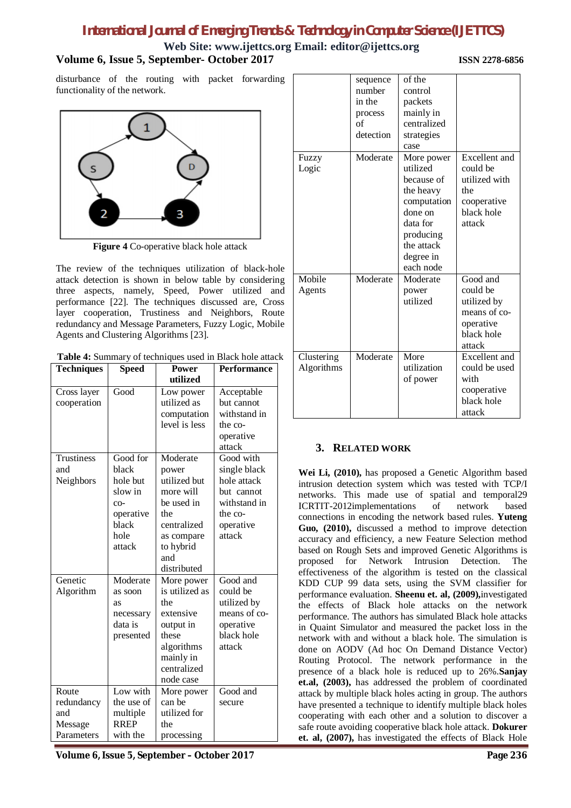# **Web Site: [www.ijettcs.org](http://www.ijettcs.org) Email: [editor@ijettcs.org](mailto:editor@ijettcs.org) Volume 6, Issue 5, September- October 2017 ISSN 2278-6856**

disturbance of the routing with packet forwarding functionality of the network.



**Figure 4** Co-operative black hole attack

The review of the techniques utilization of black-hole attack detection is shown in below table by considering three aspects, namely, Speed, Power utilized and performance [22]. The techniques discussed are, Cross layer cooperation, Trustiness and Neighbors, Route redundancy and Message Parameters, Fuzzy Logic, Mobile Agents and Clustering Algorithms [23].

| Table 4: Summary of techniques used in Black hole attack |  |
|----------------------------------------------------------|--|
|                                                          |  |

| <b>Techniques</b>                                            | <b>Speed</b>                                                          | <b>Power</b>                                                                                                                  | <b>Performance</b>                                                                                                                   |
|--------------------------------------------------------------|-----------------------------------------------------------------------|-------------------------------------------------------------------------------------------------------------------------------|--------------------------------------------------------------------------------------------------------------------------------------|
|                                                              |                                                                       | utilized                                                                                                                      |                                                                                                                                      |
| Cross layer<br>cooperation<br>Trustiness<br>and<br>Neighbors | Good<br>Good for<br>black<br>hole but<br>slow in                      | Low power<br>utilized as<br>computation<br>level is less<br>Moderate<br>power<br>utilized but<br>more will                    | Acceptable<br>but cannot<br>withstand in<br>the co-<br>operative<br>attack<br>Good with<br>single black<br>hole attack<br>but cannot |
|                                                              | $CO-$<br>operative<br>black<br>hole<br>attack                         | be used in<br>the<br>centralized<br>as compare<br>to hybrid<br>and<br>distributed                                             | withstand in<br>the co-<br>operative<br>attack                                                                                       |
| Genetic<br>Algorithm                                         | Moderate<br>as soon<br><b>as</b><br>necessary<br>data is<br>presented | More power<br>is utilized as<br>the<br>extensive<br>output in<br>these<br>algorithms<br>mainly in<br>centralized<br>node case | Good and<br>could be<br>utilized by<br>means of co-<br>operative<br>black hole<br>attack                                             |
| Route<br>redundancy<br>and<br>Message<br>Parameters          | Low with<br>the use of<br>multiple<br><b>RREP</b><br>with the         | More power<br>can be<br>utilized for<br>the<br>processing                                                                     | Good and<br>secure                                                                                                                   |

**Volume 6, Issue 5, September – October 2017 Page 236**

| Fuzzy                    | sequence<br>number<br>in the<br>process<br>of<br>detection<br>Moderate | of the<br>control<br>packets<br>mainly in<br>centralized<br>strategies<br>case<br>More power                                   | <b>Excellent</b> and                                                                     |
|--------------------------|------------------------------------------------------------------------|--------------------------------------------------------------------------------------------------------------------------------|------------------------------------------------------------------------------------------|
| Logic                    |                                                                        | utilized<br>because of<br>the heavy<br>computation<br>done on<br>data for<br>producing<br>the attack<br>degree in<br>each node | could be<br>utilized with<br>the<br>cooperative<br>black hole<br>attack                  |
| Mobile<br>Agents         | Moderate                                                               | Moderate<br>power<br>utilized                                                                                                  | Good and<br>could be<br>utilized by<br>means of co-<br>operative<br>black hole<br>attack |
| Clustering<br>Algorithms | Moderate                                                               | More<br>utilization<br>of power                                                                                                | Excellent and<br>could be used<br>with<br>cooperative<br>black hole<br>attack            |

## **3. RELATED WORK**

**Wei Li, (2010),** has proposed a Genetic Algorithm based intrusion detection system which was tested with TCP/I networks. This made use of spatial and temporal29 ICRTIT-2012implementations of network based connections in encoding the network based rules. **Yuteng Guo, (2010),** discussed a method to improve detection accuracy and efficiency, a new Feature Selection method based on Rough Sets and improved Genetic Algorithms is proposed for Network Intrusion Detection. The effectiveness of the algorithm is tested on the classical KDD CUP 99 data sets, using the SVM classifier for performance evaluation. **Sheenu et. al, (2009),**investigated the effects of Black hole attacks on the network performance. The authors has simulated Black hole attacks in Quaint Simulator and measured the packet loss in the network with and without a black hole. The simulation is done on AODV (Ad hoc On Demand Distance Vector) Routing Protocol. The network performance in the presence of a black hole is reduced up to 26%.**Sanjay et.al, (2003),** has addressed the problem of coordinated attack by multiple black holes acting in group. The authors have presented a technique to identify multiple black holes cooperating with each other and a solution to discover a safe route avoiding cooperative black hole attack. **Dokurer et. al, (2007),** has investigated the effects of Black Hole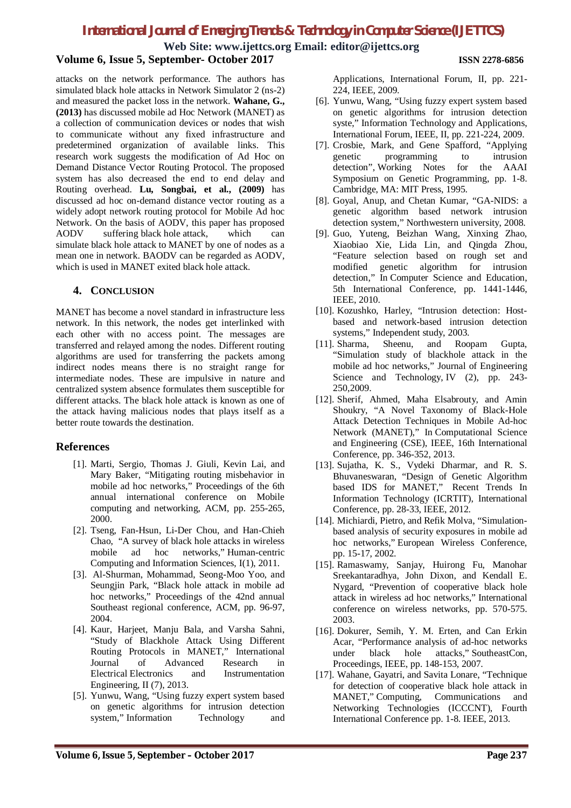**Web Site: [www.ijettcs.org](http://www.ijettcs.org) Email: [editor@ijettcs.org](mailto:editor@ijettcs.org)**

### **Volume 6, Issue 5, September- October 2017 ISSN 2278-6856**

attacks on the network performance. The authors has simulated black hole attacks in Network Simulator 2 (ns-2) and measured the packet loss in the network. **Wahane, G., (2013)** has discussed mobile ad Hoc Network (MANET) as a collection of communication devices or nodes that wish to communicate without any fixed infrastructure and predetermined organization of available links. This research work suggests the modification of Ad Hoc on Demand Distance Vector Routing Protocol. The proposed system has also decreased the end to end delay and Routing overhead. **Lu, Songbai, et al., (2009)** has discussed ad hoc on-demand distance vector routing as a widely adopt network routing protocol for Mobile Ad hoc Network. On the basis of AODV, this paper has proposed AODV suffering black hole attack, which can simulate black hole attack to MANET by one of nodes as a mean one in network. BAODV can be regarded as AODV, which is used in MANET exited black hole attack.

### **4. CONCLUSION**

MANET has become a novel standard in infrastructure less network. In this network, the nodes get interlinked with each other with no access point. The messages are transferred and relayed among the nodes. Different routing algorithms are used for transferring the packets among indirect nodes means there is no straight range for intermediate nodes. These are impulsive in nature and centralized system absence formulates them susceptible for different attacks. The black hole attack is known as one of the attack having malicious nodes that plays itself as a better route towards the destination.

## **References**

- [1]. Marti, Sergio, Thomas J. Giuli, Kevin Lai, and Mary Baker, "Mitigating routing misbehavior in mobile ad hoc networks," Proceedings of the 6th annual international conference on Mobile computing and networking, ACM, pp. 255-265, 2000.
- [2]. Tseng, Fan-Hsun, Li-Der Chou, and Han-Chieh Chao, "A survey of black hole attacks in wireless mobile ad hoc networks," Human-centric Computing and Information Sciences, I(1), 2011.
- [3]. Al-Shurman, Mohammad, Seong-Moo Yoo, and Seungjin Park, "Black hole attack in mobile ad hoc networks," Proceedings of the 42nd annual Southeast regional conference, ACM, pp. 96-97, 2004.
- [4]. Kaur, Harjeet, Manju Bala, and Varsha Sahni, "Study of Blackhole Attack Using Different Routing Protocols in MANET," International Journal of Advanced Research in Electrical Electronics and Instrumentation Engineering, II (7), 2013.
- [5]. Yunwu, Wang, "Using fuzzy expert system based on genetic algorithms for intrusion detection system," Information Technology and

Applications, International Forum, II, pp. 221- 224, IEEE, 2009.

- [6]. Yunwu, Wang, "Using fuzzy expert system based on genetic algorithms for intrusion detection syste," Information Technology and Applications, International Forum, IEEE, II, pp. 221-224, 2009.
- [7]. Crosbie, Mark, and Gene Spafford, "Applying genetic programming to intrusion detection", Working Notes for the AAAI Symposium on Genetic Programming, pp. 1-8. Cambridge, MA: MIT Press, 1995.
- [8]. Goyal, Anup, and Chetan Kumar, "GA-NIDS: a genetic algorithm based network intrusion detection system," Northwestern university, 2008.
- [9]. Guo, Yuteng, Beizhan Wang, Xinxing Zhao, Xiaobiao Xie, Lida Lin, and Qingda Zhou, "Feature selection based on rough set and modified genetic algorithm for intrusion detection," In Computer Science and Education, 5th International Conference, pp. 1441-1446, IEEE, 2010.
- [10]. Kozushko, Harley, "Intrusion detection: Hostbased and network-based intrusion detection systems," Independent study, 2003.
- [11]. Sharma, Sheenu, and Roopam Gupta, "Simulation study of blackhole attack in the mobile ad hoc networks," Journal of Engineering Science and Technology, IV (2), pp. 243-250,2009.
- [12]. Sherif, Ahmed, Maha Elsabrouty, and Amin Shoukry, "A Novel Taxonomy of Black-Hole Attack Detection Techniques in Mobile Ad-hoc Network (MANET)," In Computational Science and Engineering (CSE), IEEE, 16th International Conference, pp. 346-352, 2013.
- [13]. Sujatha, K. S., Vydeki Dharmar, and R. S. Bhuvaneswaran, "Design of Genetic Algorithm based IDS for MANET," Recent Trends In Information Technology (ICRTIT), International Conference, pp. 28-33, IEEE, 2012.
- [14]. Michiardi, Pietro, and Refik Molva, "Simulationbased analysis of security exposures in mobile ad hoc networks," European Wireless Conference, pp. 15-17, 2002.
- [15]. Ramaswamy, Sanjay, Huirong Fu, Manohar Sreekantaradhya, John Dixon, and Kendall E. Nygard, "Prevention of cooperative black hole attack in wireless ad hoc networks," International conference on wireless networks, pp. 570-575. 2003.
- [16]. Dokurer, Semih, Y. M. Erten, and Can Erkin Acar, "Performance analysis of ad-hoc networks under black hole attacks," SoutheastCon, Proceedings, IEEE, pp. 148-153, 2007.
- [17]. Wahane, Gayatri, and Savita Lonare, "Technique for detection of cooperative black hole attack in MANET," Computing, Communications and Networking Technologies (ICCCNT), Fourth International Conference pp. 1-8. IEEE, 2013.